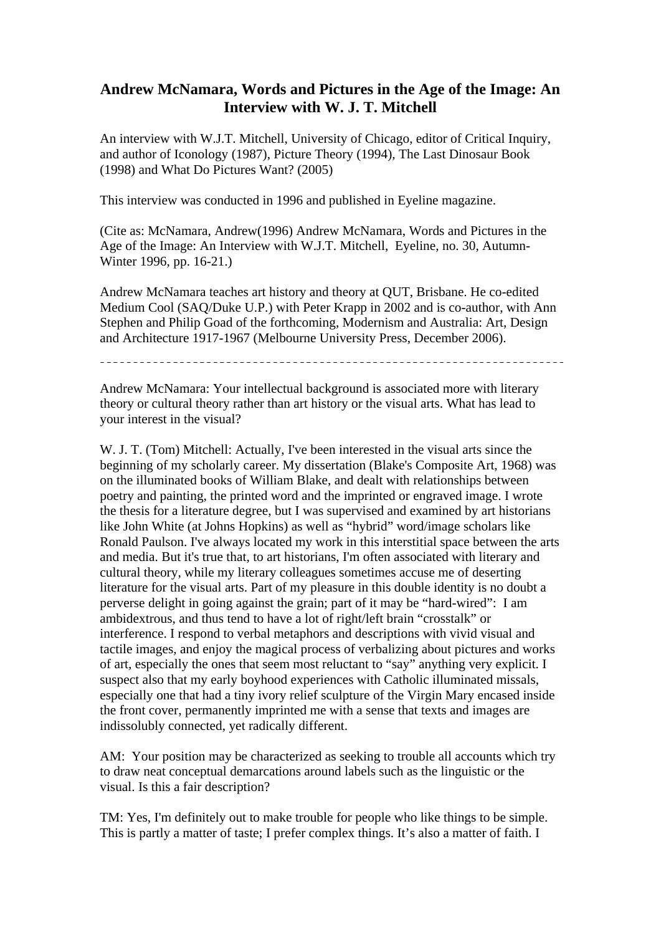## **Andrew McNamara, Words and Pictures in the Age of the Image: An Interview with W. J. T. Mitchell**

An interview with W.J.T. Mitchell, University of Chicago, editor of Critical Inquiry, and author of Iconology (1987), Picture Theory (1994), The Last Dinosaur Book (1998) and What Do Pictures Want? (2005)

This interview was conducted in 1996 and published in Eyeline magazine.

(Cite as: McNamara, Andrew(1996) Andrew McNamara, Words and Pictures in the Age of the Image: An Interview with W.J.T. Mitchell, Eyeline, no. 30, Autumn-Winter 1996, pp. 16-21.)

Andrew McNamara teaches art history and theory at QUT, Brisbane. He co-edited Medium Cool (SAQ/Duke U.P.) with Peter Krapp in 2002 and is co-author, with Ann Stephen and Philip Goad of the forthcoming, Modernism and Australia: Art, Design and Architecture 1917-1967 (Melbourne University Press, December 2006).

Andrew McNamara: Your intellectual background is associated more with literary theory or cultural theory rather than art history or the visual arts. What has lead to your interest in the visual?

W. J. T. (Tom) Mitchell: Actually, I've been interested in the visual arts since the beginning of my scholarly career. My dissertation (Blake's Composite Art, 1968) was on the illuminated books of William Blake, and dealt with relationships between poetry and painting, the printed word and the imprinted or engraved image. I wrote the thesis for a literature degree, but I was supervised and examined by art historians like John White (at Johns Hopkins) as well as "hybrid" word/image scholars like Ronald Paulson. I've always located my work in this interstitial space between the arts and media. But it's true that, to art historians, I'm often associated with literary and cultural theory, while my literary colleagues sometimes accuse me of deserting literature for the visual arts. Part of my pleasure in this double identity is no doubt a perverse delight in going against the grain; part of it may be "hard-wired": I am ambidextrous, and thus tend to have a lot of right/left brain "crosstalk" or interference. I respond to verbal metaphors and descriptions with vivid visual and tactile images, and enjoy the magical process of verbalizing about pictures and works of art, especially the ones that seem most reluctant to "say" anything very explicit. I suspect also that my early boyhood experiences with Catholic illuminated missals, especially one that had a tiny ivory relief sculpture of the Virgin Mary encased inside the front cover, permanently imprinted me with a sense that texts and images are indissolubly connected, yet radically different.

AM: Your position may be characterized as seeking to trouble all accounts which try to draw neat conceptual demarcations around labels such as the linguistic or the visual. Is this a fair description?

TM: Yes, I'm definitely out to make trouble for people who like things to be simple. This is partly a matter of taste; I prefer complex things. It's also a matter of faith. I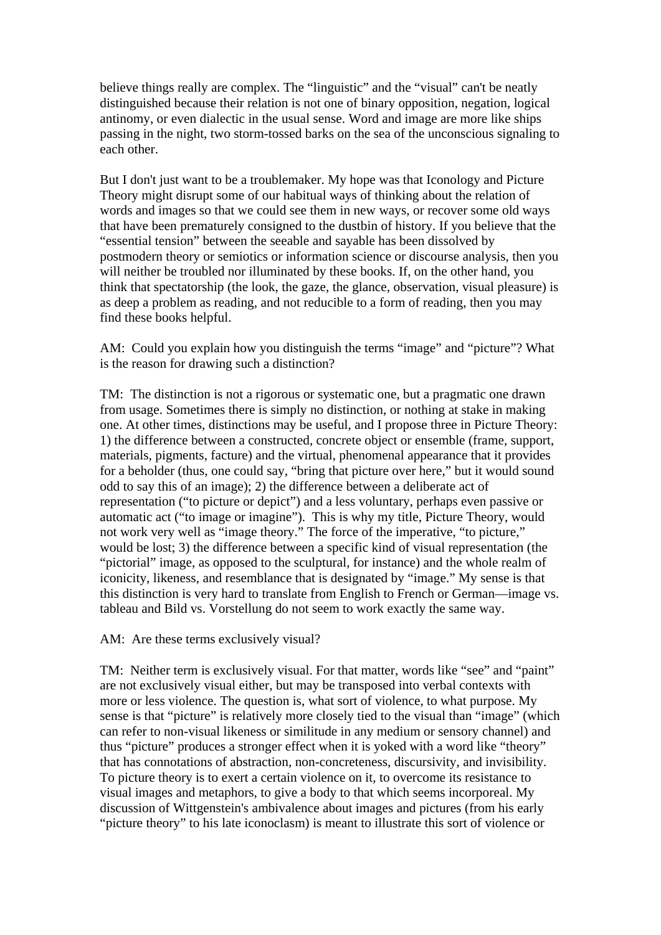believe things really are complex. The "linguistic" and the "visual" can't be neatly distinguished because their relation is not one of binary opposition, negation, logical antinomy, or even dialectic in the usual sense. Word and image are more like ships passing in the night, two storm-tossed barks on the sea of the unconscious signaling to each other.

But I don't just want to be a troublemaker. My hope was that Iconology and Picture Theory might disrupt some of our habitual ways of thinking about the relation of words and images so that we could see them in new ways, or recover some old ways that have been prematurely consigned to the dustbin of history. If you believe that the "essential tension" between the seeable and sayable has been dissolved by postmodern theory or semiotics or information science or discourse analysis, then you will neither be troubled nor illuminated by these books. If, on the other hand, you think that spectatorship (the look, the gaze, the glance, observation, visual pleasure) is as deep a problem as reading, and not reducible to a form of reading, then you may find these books helpful.

AM: Could you explain how you distinguish the terms "image" and "picture"? What is the reason for drawing such a distinction?

TM: The distinction is not a rigorous or systematic one, but a pragmatic one drawn from usage. Sometimes there is simply no distinction, or nothing at stake in making one. At other times, distinctions may be useful, and I propose three in Picture Theory: 1) the difference between a constructed, concrete object or ensemble (frame, support, materials, pigments, facture) and the virtual, phenomenal appearance that it provides for a beholder (thus, one could say, "bring that picture over here," but it would sound odd to say this of an image); 2) the difference between a deliberate act of representation ("to picture or depict") and a less voluntary, perhaps even passive or automatic act ("to image or imagine"). This is why my title, Picture Theory, would not work very well as "image theory." The force of the imperative, "to picture," would be lost; 3) the difference between a specific kind of visual representation (the "pictorial" image, as opposed to the sculptural, for instance) and the whole realm of iconicity, likeness, and resemblance that is designated by "image." My sense is that this distinction is very hard to translate from English to French or German—image vs. tableau and Bild vs. Vorstellung do not seem to work exactly the same way.

AM: Are these terms exclusively visual?

TM: Neither term is exclusively visual. For that matter, words like "see" and "paint" are not exclusively visual either, but may be transposed into verbal contexts with more or less violence. The question is, what sort of violence, to what purpose. My sense is that "picture" is relatively more closely tied to the visual than "image" (which can refer to non-visual likeness or similitude in any medium or sensory channel) and thus "picture" produces a stronger effect when it is yoked with a word like "theory" that has connotations of abstraction, non-concreteness, discursivity, and invisibility. To picture theory is to exert a certain violence on it, to overcome its resistance to visual images and metaphors, to give a body to that which seems incorporeal. My discussion of Wittgenstein's ambivalence about images and pictures (from his early "picture theory" to his late iconoclasm) is meant to illustrate this sort of violence or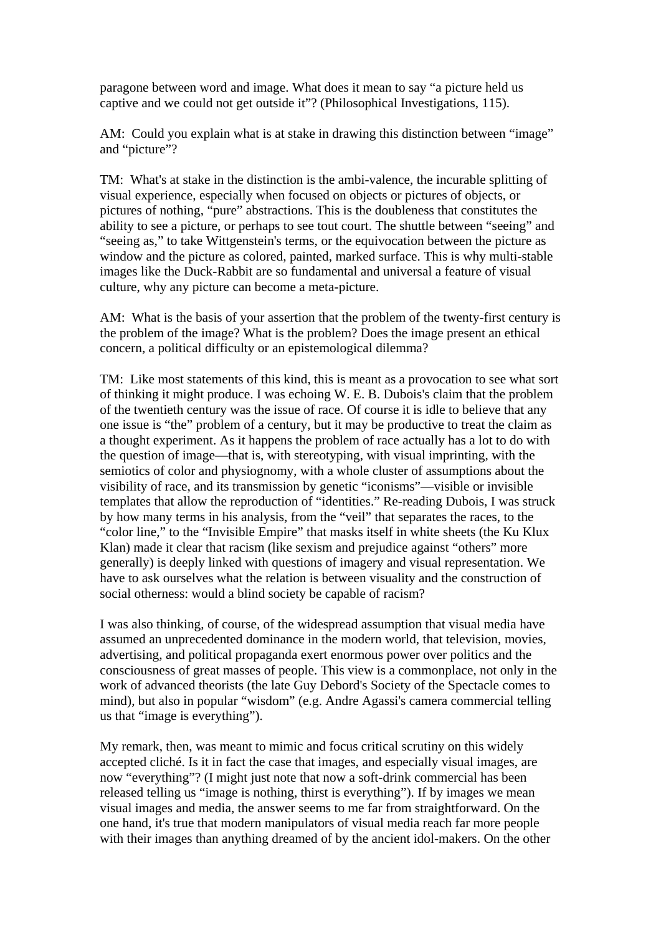paragone between word and image. What does it mean to say "a picture held us captive and we could not get outside it"? (Philosophical Investigations, 115).

AM: Could you explain what is at stake in drawing this distinction between "image" and "picture"?

TM: What's at stake in the distinction is the ambi-valence, the incurable splitting of visual experience, especially when focused on objects or pictures of objects, or pictures of nothing, "pure" abstractions. This is the doubleness that constitutes the ability to see a picture, or perhaps to see tout court. The shuttle between "seeing" and "seeing as," to take Wittgenstein's terms, or the equivocation between the picture as window and the picture as colored, painted, marked surface. This is why multi-stable images like the Duck-Rabbit are so fundamental and universal a feature of visual culture, why any picture can become a meta-picture.

AM: What is the basis of your assertion that the problem of the twenty-first century is the problem of the image? What is the problem? Does the image present an ethical concern, a political difficulty or an epistemological dilemma?

TM: Like most statements of this kind, this is meant as a provocation to see what sort of thinking it might produce. I was echoing W. E. B. Dubois's claim that the problem of the twentieth century was the issue of race. Of course it is idle to believe that any one issue is "the" problem of a century, but it may be productive to treat the claim as a thought experiment. As it happens the problem of race actually has a lot to do with the question of image—that is, with stereotyping, with visual imprinting, with the semiotics of color and physiognomy, with a whole cluster of assumptions about the visibility of race, and its transmission by genetic "iconisms"—visible or invisible templates that allow the reproduction of "identities." Re-reading Dubois, I was struck by how many terms in his analysis, from the "veil" that separates the races, to the "color line," to the "Invisible Empire" that masks itself in white sheets (the Ku Klux Klan) made it clear that racism (like sexism and prejudice against "others" more generally) is deeply linked with questions of imagery and visual representation. We have to ask ourselves what the relation is between visuality and the construction of social otherness: would a blind society be capable of racism?

I was also thinking, of course, of the widespread assumption that visual media have assumed an unprecedented dominance in the modern world, that television, movies, advertising, and political propaganda exert enormous power over politics and the consciousness of great masses of people. This view is a commonplace, not only in the work of advanced theorists (the late Guy Debord's Society of the Spectacle comes to mind), but also in popular "wisdom" (e.g. Andre Agassi's camera commercial telling us that "image is everything").

My remark, then, was meant to mimic and focus critical scrutiny on this widely accepted cliché. Is it in fact the case that images, and especially visual images, are now "everything"? (I might just note that now a soft-drink commercial has been released telling us "image is nothing, thirst is everything"). If by images we mean visual images and media, the answer seems to me far from straightforward. On the one hand, it's true that modern manipulators of visual media reach far more people with their images than anything dreamed of by the ancient idol-makers. On the other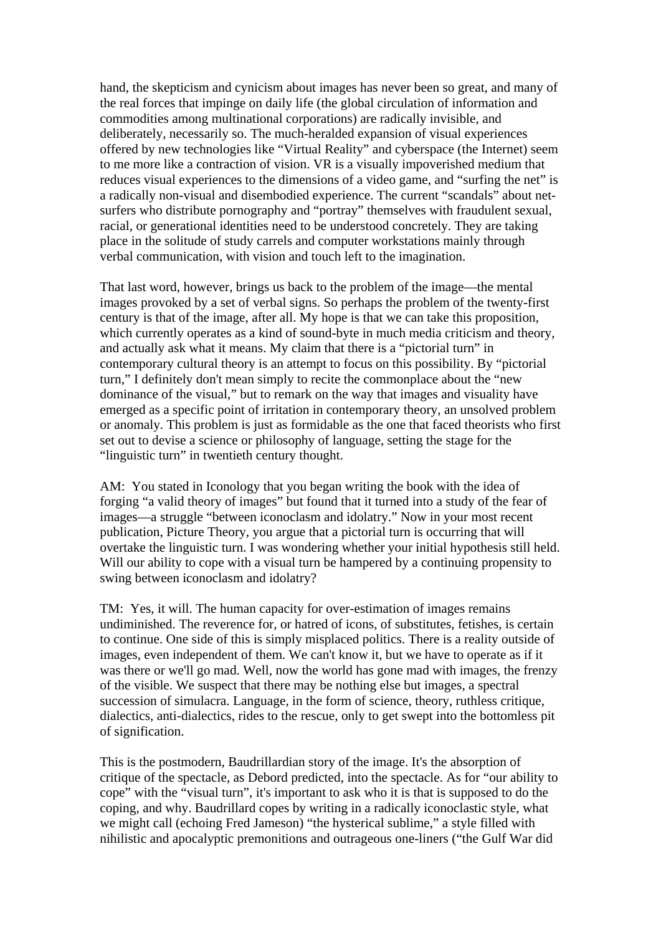hand, the skepticism and cynicism about images has never been so great, and many of the real forces that impinge on daily life (the global circulation of information and commodities among multinational corporations) are radically invisible, and deliberately, necessarily so. The much-heralded expansion of visual experiences offered by new technologies like "Virtual Reality" and cyberspace (the Internet) seem to me more like a contraction of vision. VR is a visually impoverished medium that reduces visual experiences to the dimensions of a video game, and "surfing the net" is a radically non-visual and disembodied experience. The current "scandals" about netsurfers who distribute pornography and "portray" themselves with fraudulent sexual, racial, or generational identities need to be understood concretely. They are taking place in the solitude of study carrels and computer workstations mainly through verbal communication, with vision and touch left to the imagination.

That last word, however, brings us back to the problem of the image—the mental images provoked by a set of verbal signs. So perhaps the problem of the twenty-first century is that of the image, after all. My hope is that we can take this proposition, which currently operates as a kind of sound-byte in much media criticism and theory, and actually ask what it means. My claim that there is a "pictorial turn" in contemporary cultural theory is an attempt to focus on this possibility. By "pictorial turn," I definitely don't mean simply to recite the commonplace about the "new dominance of the visual," but to remark on the way that images and visuality have emerged as a specific point of irritation in contemporary theory, an unsolved problem or anomaly. This problem is just as formidable as the one that faced theorists who first set out to devise a science or philosophy of language, setting the stage for the "linguistic turn" in twentieth century thought.

AM: You stated in Iconology that you began writing the book with the idea of forging "a valid theory of images" but found that it turned into a study of the fear of images—a struggle "between iconoclasm and idolatry." Now in your most recent publication, Picture Theory, you argue that a pictorial turn is occurring that will overtake the linguistic turn. I was wondering whether your initial hypothesis still held. Will our ability to cope with a visual turn be hampered by a continuing propensity to swing between iconoclasm and idolatry?

TM: Yes, it will. The human capacity for over-estimation of images remains undiminished. The reverence for, or hatred of icons, of substitutes, fetishes, is certain to continue. One side of this is simply misplaced politics. There is a reality outside of images, even independent of them. We can't know it, but we have to operate as if it was there or we'll go mad. Well, now the world has gone mad with images, the frenzy of the visible. We suspect that there may be nothing else but images, a spectral succession of simulacra. Language, in the form of science, theory, ruthless critique, dialectics, anti-dialectics, rides to the rescue, only to get swept into the bottomless pit of signification.

This is the postmodern, Baudrillardian story of the image. It's the absorption of critique of the spectacle, as Debord predicted, into the spectacle. As for "our ability to cope" with the "visual turn", it's important to ask who it is that is supposed to do the coping, and why. Baudrillard copes by writing in a radically iconoclastic style, what we might call (echoing Fred Jameson) "the hysterical sublime," a style filled with nihilistic and apocalyptic premonitions and outrageous one-liners ("the Gulf War did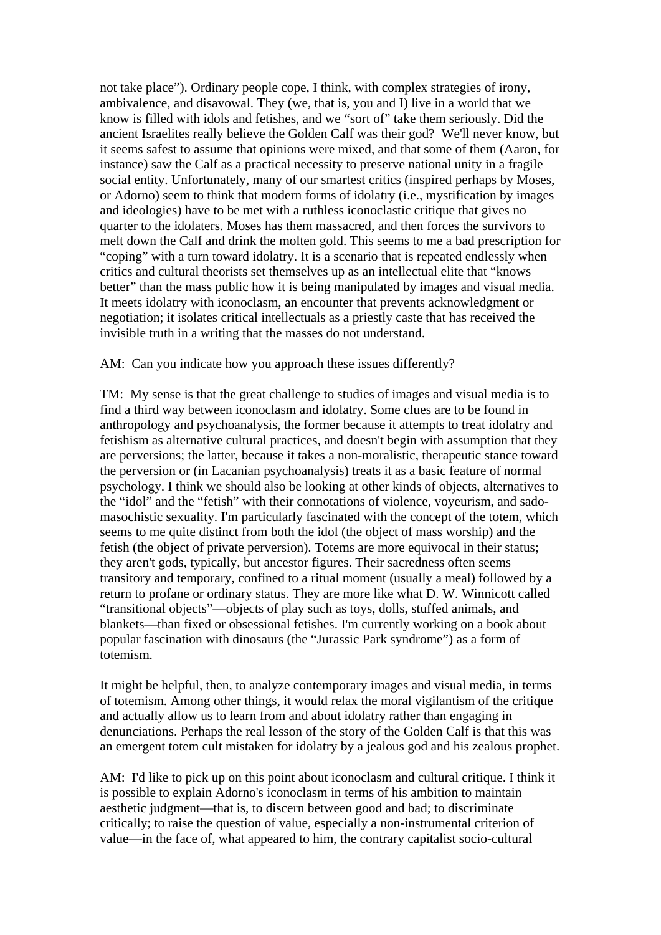not take place"). Ordinary people cope, I think, with complex strategies of irony, ambivalence, and disavowal. They (we, that is, you and I) live in a world that we know is filled with idols and fetishes, and we "sort of" take them seriously. Did the ancient Israelites really believe the Golden Calf was their god? We'll never know, but it seems safest to assume that opinions were mixed, and that some of them (Aaron, for instance) saw the Calf as a practical necessity to preserve national unity in a fragile social entity. Unfortunately, many of our smartest critics (inspired perhaps by Moses, or Adorno) seem to think that modern forms of idolatry (i.e., mystification by images and ideologies) have to be met with a ruthless iconoclastic critique that gives no quarter to the idolaters. Moses has them massacred, and then forces the survivors to melt down the Calf and drink the molten gold. This seems to me a bad prescription for "coping" with a turn toward idolatry. It is a scenario that is repeated endlessly when critics and cultural theorists set themselves up as an intellectual elite that "knows better" than the mass public how it is being manipulated by images and visual media. It meets idolatry with iconoclasm, an encounter that prevents acknowledgment or negotiation; it isolates critical intellectuals as a priestly caste that has received the invisible truth in a writing that the masses do not understand.

AM: Can you indicate how you approach these issues differently?

TM: My sense is that the great challenge to studies of images and visual media is to find a third way between iconoclasm and idolatry. Some clues are to be found in anthropology and psychoanalysis, the former because it attempts to treat idolatry and fetishism as alternative cultural practices, and doesn't begin with assumption that they are perversions; the latter, because it takes a non-moralistic, therapeutic stance toward the perversion or (in Lacanian psychoanalysis) treats it as a basic feature of normal psychology. I think we should also be looking at other kinds of objects, alternatives to the "idol" and the "fetish" with their connotations of violence, voyeurism, and sadomasochistic sexuality. I'm particularly fascinated with the concept of the totem, which seems to me quite distinct from both the idol (the object of mass worship) and the fetish (the object of private perversion). Totems are more equivocal in their status; they aren't gods, typically, but ancestor figures. Their sacredness often seems transitory and temporary, confined to a ritual moment (usually a meal) followed by a return to profane or ordinary status. They are more like what D. W. Winnicott called "transitional objects"—objects of play such as toys, dolls, stuffed animals, and blankets—than fixed or obsessional fetishes. I'm currently working on a book about popular fascination with dinosaurs (the "Jurassic Park syndrome") as a form of totemism.

It might be helpful, then, to analyze contemporary images and visual media, in terms of totemism. Among other things, it would relax the moral vigilantism of the critique and actually allow us to learn from and about idolatry rather than engaging in denunciations. Perhaps the real lesson of the story of the Golden Calf is that this was an emergent totem cult mistaken for idolatry by a jealous god and his zealous prophet.

AM: I'd like to pick up on this point about iconoclasm and cultural critique. I think it is possible to explain Adorno's iconoclasm in terms of his ambition to maintain aesthetic judgment—that is, to discern between good and bad; to discriminate critically; to raise the question of value, especially a non-instrumental criterion of value—in the face of, what appeared to him, the contrary capitalist socio-cultural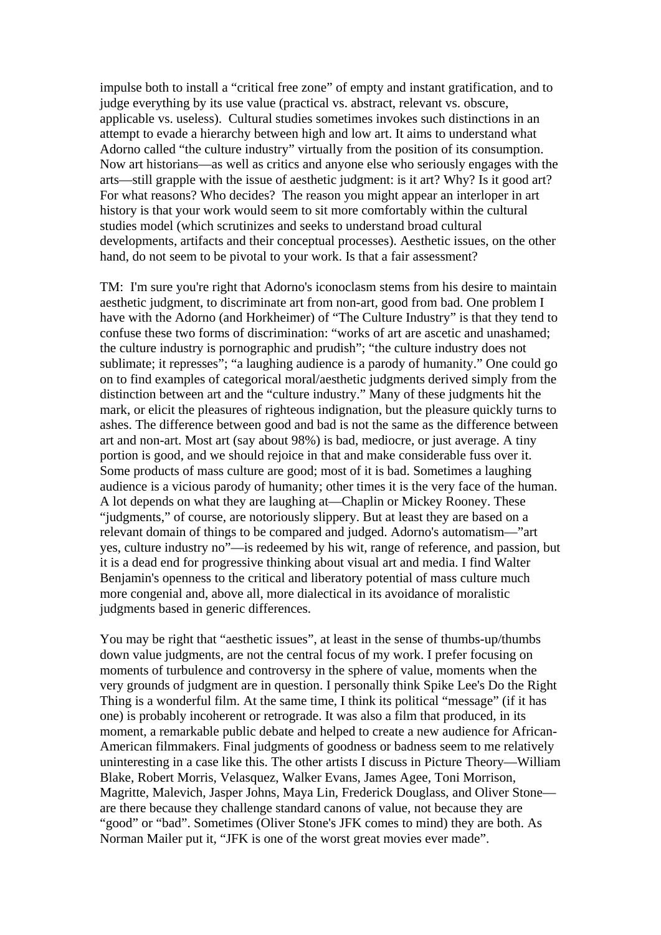impulse both to install a "critical free zone" of empty and instant gratification, and to judge everything by its use value (practical vs. abstract, relevant vs. obscure, applicable vs. useless). Cultural studies sometimes invokes such distinctions in an attempt to evade a hierarchy between high and low art. It aims to understand what Adorno called "the culture industry" virtually from the position of its consumption. Now art historians—as well as critics and anyone else who seriously engages with the arts—still grapple with the issue of aesthetic judgment: is it art? Why? Is it good art? For what reasons? Who decides? The reason you might appear an interloper in art history is that your work would seem to sit more comfortably within the cultural studies model (which scrutinizes and seeks to understand broad cultural developments, artifacts and their conceptual processes). Aesthetic issues, on the other hand, do not seem to be pivotal to your work. Is that a fair assessment?

TM: I'm sure you're right that Adorno's iconoclasm stems from his desire to maintain aesthetic judgment, to discriminate art from non-art, good from bad. One problem I have with the Adorno (and Horkheimer) of "The Culture Industry" is that they tend to confuse these two forms of discrimination: "works of art are ascetic and unashamed; the culture industry is pornographic and prudish"; "the culture industry does not sublimate; it represses"; "a laughing audience is a parody of humanity." One could go on to find examples of categorical moral/aesthetic judgments derived simply from the distinction between art and the "culture industry." Many of these judgments hit the mark, or elicit the pleasures of righteous indignation, but the pleasure quickly turns to ashes. The difference between good and bad is not the same as the difference between art and non-art. Most art (say about 98%) is bad, mediocre, or just average. A tiny portion is good, and we should rejoice in that and make considerable fuss over it. Some products of mass culture are good; most of it is bad. Sometimes a laughing audience is a vicious parody of humanity; other times it is the very face of the human. A lot depends on what they are laughing at—Chaplin or Mickey Rooney. These "judgments," of course, are notoriously slippery. But at least they are based on a relevant domain of things to be compared and judged. Adorno's automatism—"art yes, culture industry no"—is redeemed by his wit, range of reference, and passion, but it is a dead end for progressive thinking about visual art and media. I find Walter Benjamin's openness to the critical and liberatory potential of mass culture much more congenial and, above all, more dialectical in its avoidance of moralistic judgments based in generic differences.

You may be right that "aesthetic issues", at least in the sense of thumbs-up/thumbs down value judgments, are not the central focus of my work. I prefer focusing on moments of turbulence and controversy in the sphere of value, moments when the very grounds of judgment are in question. I personally think Spike Lee's Do the Right Thing is a wonderful film. At the same time, I think its political "message" (if it has one) is probably incoherent or retrograde. It was also a film that produced, in its moment, a remarkable public debate and helped to create a new audience for African-American filmmakers. Final judgments of goodness or badness seem to me relatively uninteresting in a case like this. The other artists I discuss in Picture Theory—William Blake, Robert Morris, Velasquez, Walker Evans, James Agee, Toni Morrison, Magritte, Malevich, Jasper Johns, Maya Lin, Frederick Douglass, and Oliver Stone are there because they challenge standard canons of value, not because they are "good" or "bad". Sometimes (Oliver Stone's JFK comes to mind) they are both. As Norman Mailer put it, "JFK is one of the worst great movies ever made".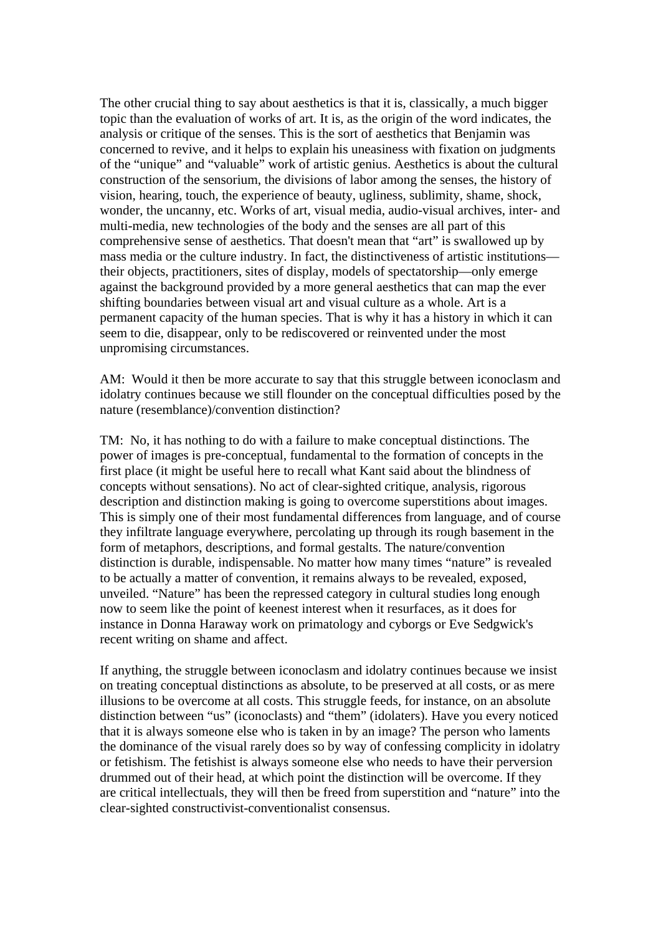The other crucial thing to say about aesthetics is that it is, classically, a much bigger topic than the evaluation of works of art. It is, as the origin of the word indicates, the analysis or critique of the senses. This is the sort of aesthetics that Benjamin was concerned to revive, and it helps to explain his uneasiness with fixation on judgments of the "unique" and "valuable" work of artistic genius. Aesthetics is about the cultural construction of the sensorium, the divisions of labor among the senses, the history of vision, hearing, touch, the experience of beauty, ugliness, sublimity, shame, shock, wonder, the uncanny, etc. Works of art, visual media, audio-visual archives, inter- and multi-media, new technologies of the body and the senses are all part of this comprehensive sense of aesthetics. That doesn't mean that "art" is swallowed up by mass media or the culture industry. In fact, the distinctiveness of artistic institutions their objects, practitioners, sites of display, models of spectatorship—only emerge against the background provided by a more general aesthetics that can map the ever shifting boundaries between visual art and visual culture as a whole. Art is a permanent capacity of the human species. That is why it has a history in which it can seem to die, disappear, only to be rediscovered or reinvented under the most unpromising circumstances.

AM: Would it then be more accurate to say that this struggle between iconoclasm and idolatry continues because we still flounder on the conceptual difficulties posed by the nature (resemblance)/convention distinction?

TM: No, it has nothing to do with a failure to make conceptual distinctions. The power of images is pre-conceptual, fundamental to the formation of concepts in the first place (it might be useful here to recall what Kant said about the blindness of concepts without sensations). No act of clear-sighted critique, analysis, rigorous description and distinction making is going to overcome superstitions about images. This is simply one of their most fundamental differences from language, and of course they infiltrate language everywhere, percolating up through its rough basement in the form of metaphors, descriptions, and formal gestalts. The nature/convention distinction is durable, indispensable. No matter how many times "nature" is revealed to be actually a matter of convention, it remains always to be revealed, exposed, unveiled. "Nature" has been the repressed category in cultural studies long enough now to seem like the point of keenest interest when it resurfaces, as it does for instance in Donna Haraway work on primatology and cyborgs or Eve Sedgwick's recent writing on shame and affect.

If anything, the struggle between iconoclasm and idolatry continues because we insist on treating conceptual distinctions as absolute, to be preserved at all costs, or as mere illusions to be overcome at all costs. This struggle feeds, for instance, on an absolute distinction between "us" (iconoclasts) and "them" (idolaters). Have you every noticed that it is always someone else who is taken in by an image? The person who laments the dominance of the visual rarely does so by way of confessing complicity in idolatry or fetishism. The fetishist is always someone else who needs to have their perversion drummed out of their head, at which point the distinction will be overcome. If they are critical intellectuals, they will then be freed from superstition and "nature" into the clear-sighted constructivist-conventionalist consensus.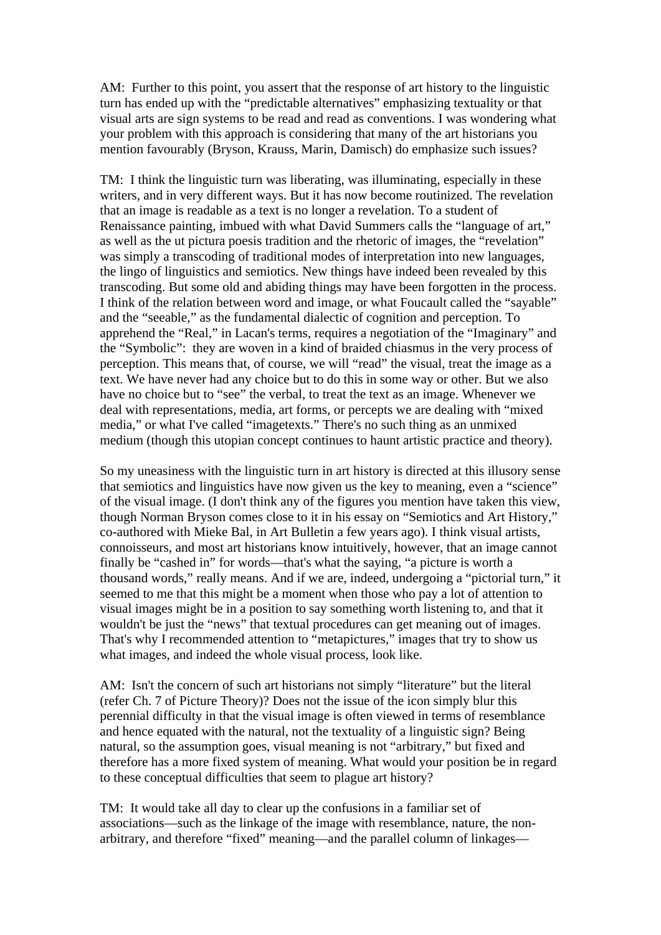AM: Further to this point, you assert that the response of art history to the linguistic turn has ended up with the "predictable alternatives" emphasizing textuality or that visual arts are sign systems to be read and read as conventions. I was wondering what your problem with this approach is considering that many of the art historians you mention favourably (Bryson, Krauss, Marin, Damisch) do emphasize such issues?

TM: I think the linguistic turn was liberating, was illuminating, especially in these writers, and in very different ways. But it has now become routinized. The revelation that an image is readable as a text is no longer a revelation. To a student of Renaissance painting, imbued with what David Summers calls the "language of art," as well as the ut pictura poesis tradition and the rhetoric of images, the "revelation" was simply a transcoding of traditional modes of interpretation into new languages, the lingo of linguistics and semiotics. New things have indeed been revealed by this transcoding. But some old and abiding things may have been forgotten in the process. I think of the relation between word and image, or what Foucault called the "sayable" and the "seeable," as the fundamental dialectic of cognition and perception. To apprehend the "Real," in Lacan's terms, requires a negotiation of the "Imaginary" and the "Symbolic": they are woven in a kind of braided chiasmus in the very process of perception. This means that, of course, we will "read" the visual, treat the image as a text. We have never had any choice but to do this in some way or other. But we also have no choice but to "see" the verbal, to treat the text as an image. Whenever we deal with representations, media, art forms, or percepts we are dealing with "mixed media," or what I've called "imagetexts." There's no such thing as an unmixed medium (though this utopian concept continues to haunt artistic practice and theory).

So my uneasiness with the linguistic turn in art history is directed at this illusory sense that semiotics and linguistics have now given us the key to meaning, even a "science" of the visual image. (I don't think any of the figures you mention have taken this view, though Norman Bryson comes close to it in his essay on "Semiotics and Art History," co-authored with Mieke Bal, in Art Bulletin a few years ago). I think visual artists, connoisseurs, and most art historians know intuitively, however, that an image cannot finally be "cashed in" for words—that's what the saying, "a picture is worth a thousand words," really means. And if we are, indeed, undergoing a "pictorial turn," it seemed to me that this might be a moment when those who pay a lot of attention to visual images might be in a position to say something worth listening to, and that it wouldn't be just the "news" that textual procedures can get meaning out of images. That's why I recommended attention to "metapictures," images that try to show us what images, and indeed the whole visual process, look like.

AM: Isn't the concern of such art historians not simply "literature" but the literal (refer Ch. 7 of Picture Theory)? Does not the issue of the icon simply blur this perennial difficulty in that the visual image is often viewed in terms of resemblance and hence equated with the natural, not the textuality of a linguistic sign? Being natural, so the assumption goes, visual meaning is not "arbitrary," but fixed and therefore has a more fixed system of meaning. What would your position be in regard to these conceptual difficulties that seem to plague art history?

TM: It would take all day to clear up the confusions in a familiar set of associations—such as the linkage of the image with resemblance, nature, the nonarbitrary, and therefore "fixed" meaning—and the parallel column of linkages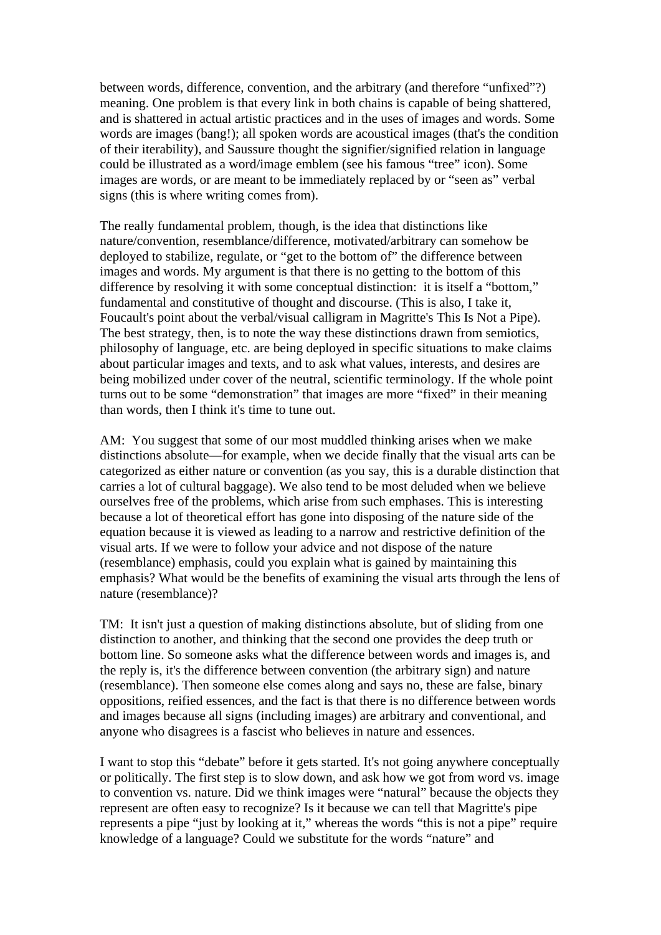between words, difference, convention, and the arbitrary (and therefore "unfixed"?) meaning. One problem is that every link in both chains is capable of being shattered, and is shattered in actual artistic practices and in the uses of images and words. Some words are images (bang!); all spoken words are acoustical images (that's the condition of their iterability), and Saussure thought the signifier/signified relation in language could be illustrated as a word/image emblem (see his famous "tree" icon). Some images are words, or are meant to be immediately replaced by or "seen as" verbal signs (this is where writing comes from).

The really fundamental problem, though, is the idea that distinctions like nature/convention, resemblance/difference, motivated/arbitrary can somehow be deployed to stabilize, regulate, or "get to the bottom of" the difference between images and words. My argument is that there is no getting to the bottom of this difference by resolving it with some conceptual distinction: it is itself a "bottom," fundamental and constitutive of thought and discourse. (This is also, I take it, Foucault's point about the verbal/visual calligram in Magritte's This Is Not a Pipe). The best strategy, then, is to note the way these distinctions drawn from semiotics, philosophy of language, etc. are being deployed in specific situations to make claims about particular images and texts, and to ask what values, interests, and desires are being mobilized under cover of the neutral, scientific terminology. If the whole point turns out to be some "demonstration" that images are more "fixed" in their meaning than words, then I think it's time to tune out.

AM: You suggest that some of our most muddled thinking arises when we make distinctions absolute—for example, when we decide finally that the visual arts can be categorized as either nature or convention (as you say, this is a durable distinction that carries a lot of cultural baggage). We also tend to be most deluded when we believe ourselves free of the problems, which arise from such emphases. This is interesting because a lot of theoretical effort has gone into disposing of the nature side of the equation because it is viewed as leading to a narrow and restrictive definition of the visual arts. If we were to follow your advice and not dispose of the nature (resemblance) emphasis, could you explain what is gained by maintaining this emphasis? What would be the benefits of examining the visual arts through the lens of nature (resemblance)?

TM: It isn't just a question of making distinctions absolute, but of sliding from one distinction to another, and thinking that the second one provides the deep truth or bottom line. So someone asks what the difference between words and images is, and the reply is, it's the difference between convention (the arbitrary sign) and nature (resemblance). Then someone else comes along and says no, these are false, binary oppositions, reified essences, and the fact is that there is no difference between words and images because all signs (including images) are arbitrary and conventional, and anyone who disagrees is a fascist who believes in nature and essences.

I want to stop this "debate" before it gets started. It's not going anywhere conceptually or politically. The first step is to slow down, and ask how we got from word vs. image to convention vs. nature. Did we think images were "natural" because the objects they represent are often easy to recognize? Is it because we can tell that Magritte's pipe represents a pipe "just by looking at it," whereas the words "this is not a pipe" require knowledge of a language? Could we substitute for the words "nature" and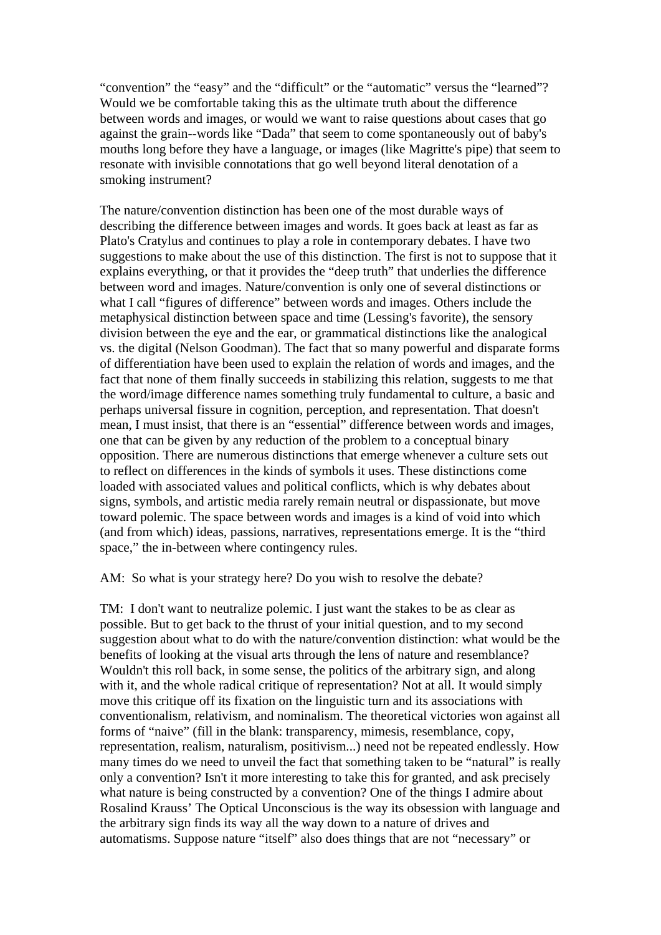"convention" the "easy" and the "difficult" or the "automatic" versus the "learned"? Would we be comfortable taking this as the ultimate truth about the difference between words and images, or would we want to raise questions about cases that go against the grain--words like "Dada" that seem to come spontaneously out of baby's mouths long before they have a language, or images (like Magritte's pipe) that seem to resonate with invisible connotations that go well beyond literal denotation of a smoking instrument?

The nature/convention distinction has been one of the most durable ways of describing the difference between images and words. It goes back at least as far as Plato's Cratylus and continues to play a role in contemporary debates. I have two suggestions to make about the use of this distinction. The first is not to suppose that it explains everything, or that it provides the "deep truth" that underlies the difference between word and images. Nature/convention is only one of several distinctions or what I call "figures of difference" between words and images. Others include the metaphysical distinction between space and time (Lessing's favorite), the sensory division between the eye and the ear, or grammatical distinctions like the analogical vs. the digital (Nelson Goodman). The fact that so many powerful and disparate forms of differentiation have been used to explain the relation of words and images, and the fact that none of them finally succeeds in stabilizing this relation, suggests to me that the word/image difference names something truly fundamental to culture, a basic and perhaps universal fissure in cognition, perception, and representation. That doesn't mean, I must insist, that there is an "essential" difference between words and images, one that can be given by any reduction of the problem to a conceptual binary opposition. There are numerous distinctions that emerge whenever a culture sets out to reflect on differences in the kinds of symbols it uses. These distinctions come loaded with associated values and political conflicts, which is why debates about signs, symbols, and artistic media rarely remain neutral or dispassionate, but move toward polemic. The space between words and images is a kind of void into which (and from which) ideas, passions, narratives, representations emerge. It is the "third space," the in-between where contingency rules.

AM: So what is your strategy here? Do you wish to resolve the debate?

TM: I don't want to neutralize polemic. I just want the stakes to be as clear as possible. But to get back to the thrust of your initial question, and to my second suggestion about what to do with the nature/convention distinction: what would be the benefits of looking at the visual arts through the lens of nature and resemblance? Wouldn't this roll back, in some sense, the politics of the arbitrary sign, and along with it, and the whole radical critique of representation? Not at all. It would simply move this critique off its fixation on the linguistic turn and its associations with conventionalism, relativism, and nominalism. The theoretical victories won against all forms of "naive" (fill in the blank: transparency, mimesis, resemblance, copy, representation, realism, naturalism, positivism...) need not be repeated endlessly. How many times do we need to unveil the fact that something taken to be "natural" is really only a convention? Isn't it more interesting to take this for granted, and ask precisely what nature is being constructed by a convention? One of the things I admire about Rosalind Krauss' The Optical Unconscious is the way its obsession with language and the arbitrary sign finds its way all the way down to a nature of drives and automatisms. Suppose nature "itself" also does things that are not "necessary" or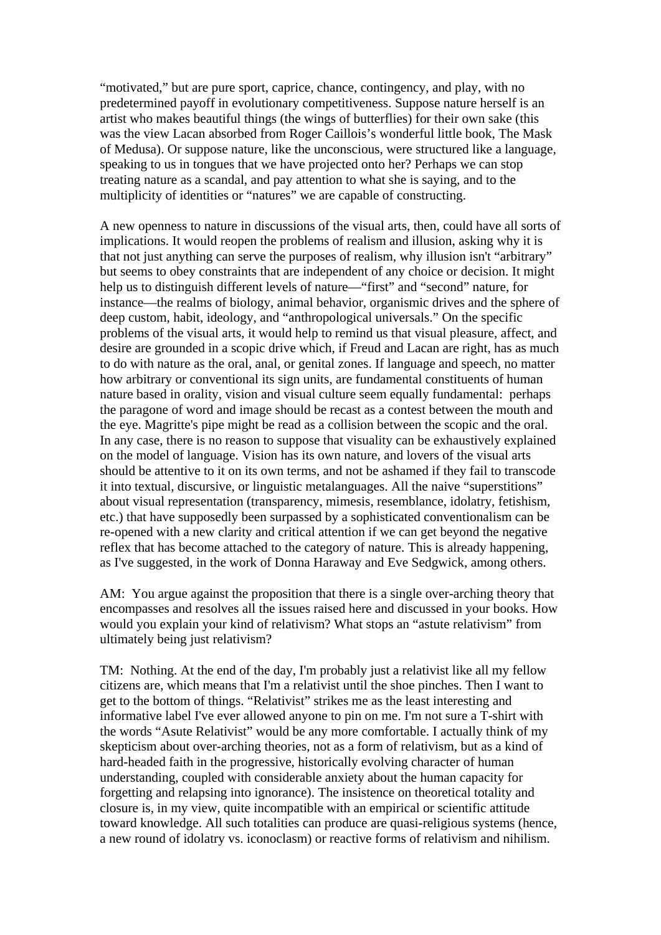"motivated," but are pure sport, caprice, chance, contingency, and play, with no predetermined payoff in evolutionary competitiveness. Suppose nature herself is an artist who makes beautiful things (the wings of butterflies) for their own sake (this was the view Lacan absorbed from Roger Caillois's wonderful little book, The Mask of Medusa). Or suppose nature, like the unconscious, were structured like a language, speaking to us in tongues that we have projected onto her? Perhaps we can stop treating nature as a scandal, and pay attention to what she is saying, and to the multiplicity of identities or "natures" we are capable of constructing.

A new openness to nature in discussions of the visual arts, then, could have all sorts of implications. It would reopen the problems of realism and illusion, asking why it is that not just anything can serve the purposes of realism, why illusion isn't "arbitrary" but seems to obey constraints that are independent of any choice or decision. It might help us to distinguish different levels of nature—"first" and "second" nature, for instance—the realms of biology, animal behavior, organismic drives and the sphere of deep custom, habit, ideology, and "anthropological universals." On the specific problems of the visual arts, it would help to remind us that visual pleasure, affect, and desire are grounded in a scopic drive which, if Freud and Lacan are right, has as much to do with nature as the oral, anal, or genital zones. If language and speech, no matter how arbitrary or conventional its sign units, are fundamental constituents of human nature based in orality, vision and visual culture seem equally fundamental: perhaps the paragone of word and image should be recast as a contest between the mouth and the eye. Magritte's pipe might be read as a collision between the scopic and the oral. In any case, there is no reason to suppose that visuality can be exhaustively explained on the model of language. Vision has its own nature, and lovers of the visual arts should be attentive to it on its own terms, and not be ashamed if they fail to transcode it into textual, discursive, or linguistic metalanguages. All the naive "superstitions" about visual representation (transparency, mimesis, resemblance, idolatry, fetishism, etc.) that have supposedly been surpassed by a sophisticated conventionalism can be re-opened with a new clarity and critical attention if we can get beyond the negative reflex that has become attached to the category of nature. This is already happening, as I've suggested, in the work of Donna Haraway and Eve Sedgwick, among others.

AM: You argue against the proposition that there is a single over-arching theory that encompasses and resolves all the issues raised here and discussed in your books. How would you explain your kind of relativism? What stops an "astute relativism" from ultimately being just relativism?

TM: Nothing. At the end of the day, I'm probably just a relativist like all my fellow citizens are, which means that I'm a relativist until the shoe pinches. Then I want to get to the bottom of things. "Relativist" strikes me as the least interesting and informative label I've ever allowed anyone to pin on me. I'm not sure a T-shirt with the words "Asute Relativist" would be any more comfortable. I actually think of my skepticism about over-arching theories, not as a form of relativism, but as a kind of hard-headed faith in the progressive, historically evolving character of human understanding, coupled with considerable anxiety about the human capacity for forgetting and relapsing into ignorance). The insistence on theoretical totality and closure is, in my view, quite incompatible with an empirical or scientific attitude toward knowledge. All such totalities can produce are quasi-religious systems (hence, a new round of idolatry vs. iconoclasm) or reactive forms of relativism and nihilism.